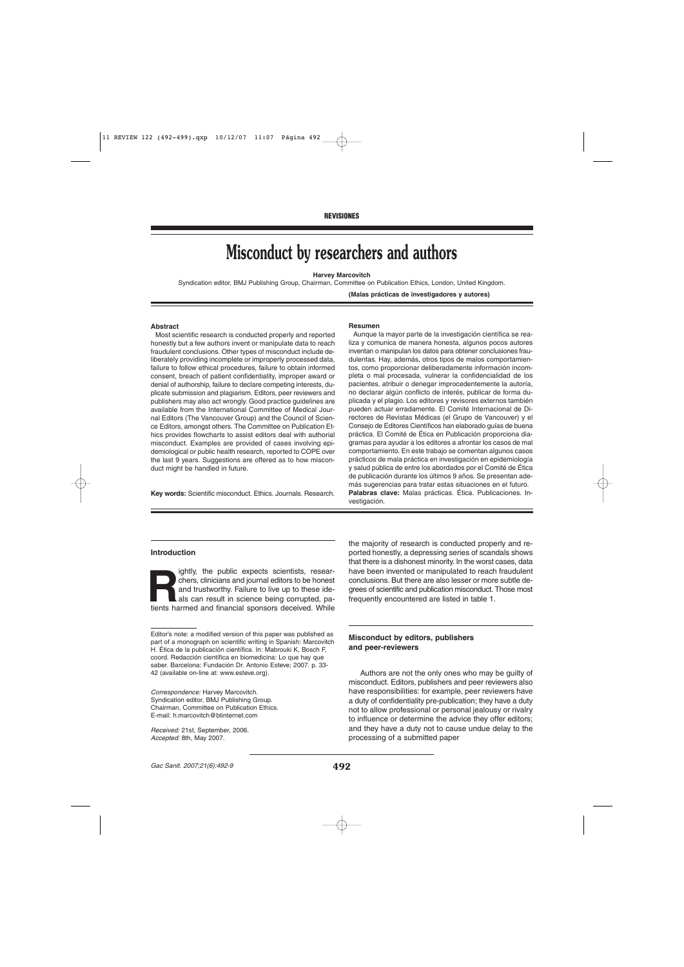# **Misconduct by researchers and authors**

**Harvey Marcovitch**

Syndication editor, BMJ Publishing Group, Chairman, Committee on Publication Ethics, London, United Kingdom.

**(Malas prácticas de investigadores y autores)**

## **Abstract**

Most scientific research is conducted properly and reported honestly but a few authors invent or manipulate data to reach fraudulent conclusions. Other types of misconduct include deliberately providing incomplete or improperly processed data, failure to follow ethical procedures, failure to obtain informed consent, breach of patient confidentiality, improper award or denial of authorship, failure to declare competing interests, duplicate submission and plagiarism. Editors, peer reviewers and publishers may also act wrongly. Good practice guidelines are available from the International Committee of Medical Journal Editors (The Vancouver Group) and the Council of Science Editors, amongst others. The Committee on Publication Ethics provides flowcharts to assist editors deal with authorial misconduct. Examples are provided of cases involving epidemiological or public health research, reported to COPE over the last 9 years. Suggestions are offered as to how misconduct might be handled in future.

**Key words:** Scientific misconduct. Ethics. Journals. Research.

#### **Resumen**

Aunque la mayor parte de la investigación científica se realiza y comunica de manera honesta, algunos pocos autores inventan o manipulan los datos para obtener conclusiones fraudulentas. Hay, además, otros tipos de malos comportamientos, como proporcionar deliberadamente información incompleta o mal procesada, vulnerar la confidencialidad de los pacientes, atribuir o denegar improcedentemente la autoría, no declarar algún conflicto de interés, publicar de forma duplicada y el plagio. Los editores y revisores externos también pueden actuar erradamente. El Comité Internacional de Directores de Revistas Médicas (el Grupo de Vancouver) y el Consejo de Editores Científicos han elaborado guías de buena práctica. El Comité de Ética en Publicación proporciona diagramas para ayudar a los editores a afrontar los casos de mal comportamiento. En este trabajo se comentan algunos casos prácticos de mala práctica en investigación en epidemiología y salud pública de entre los abordados por el Comité de Ética de publicación durante los últimos 9 años. Se presentan además sugerencias para tratar estas situaciones en el futuro. **Palabras clave:** Malas prácticas. Ética. Publicaciones. Investigación.

# **Introduction**

**Rightly, the public expects scientists, resear-**<br>chers, clinicians and journal editors to be honest<br>and trustworthy. Failure to live up to these ide-<br>als can result in science being corrupted, pa-<br>tients harmed and financ chers, clinicians and journal editors to be honest and trustworthy. Failure to live up to these ideals can result in science being corrupted, pa-

Correspondence: Harvey Marcovitch. Syndication editor, BMJ Publishing Group. Chairman, Committee on Publication Ethics. E-mail: h.marcovitch@btinternet.com

Received: 21st, September, 2006. Accepted: 8th, May 2007.

the majority of research is conducted properly and reported honestly, a depressing series of scandals shows that there is a dishonest minority. In the worst cases, data have been invented or manipulated to reach fraudulent conclusions. But there are also lesser or more subtle degrees of scientific and publication misconduct. Those most frequently encountered are listed in table 1.

# **Misconduct by editors, publishers and peer-reviewers**

Authors are not the only ones who may be guilty of misconduct. Editors, publishers and peer reviewers also have responsibilities: for example, peer reviewers have a duty of confidentiality pre-publication; they have a duty not to allow professional or personal jealousy or rivalry to influence or determine the advice they offer editors; and they have a duty not to cause undue delay to the processing of a submitted paper

Editor's note: a modified version of this paper was published as part of a monograph on scientific writing in Spanish: Marcovitch H. Ética de la publicación científica. In: Mabrouki K, Bosch F, coord. Redacción científica en biomedicina: Lo que hay que saber. Barcelona: Fundación Dr. Antonio Esteve; 2007. p. 33- 42 (available on-line at: www.esteve.org).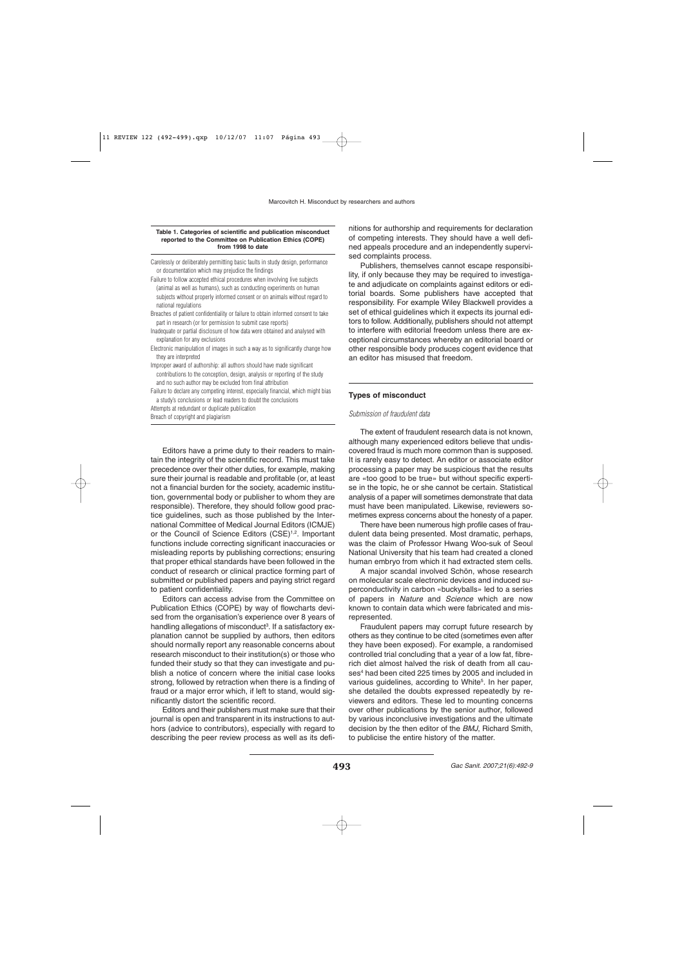## **Table 1. Categories of scientific and publication misconduct reported to the Committee on Publication Ethics (COPE) from 1998 to date**

Carelessly or deliberately permitting basic faults in study design, performance or documentation which may prejudice the findings

- Failure to follow accepted ethical procedures when involving live subjects (animal as well as humans), such as conducting experiments on human subjects without properly informed consent or on animals without regard to national regulations
- Breaches of patient confidentiality or failure to obtain informed consent to take part in research (or for permission to submit case reports)
- Inadequate or partial disclosure of how data were obtained and analysed with explanation for any exclusions
- Electronic manipulation of images in such a way as to significantly change how they are interpreted

Improper award of authorship: all authors should have made significant contributions to the conception, design, analysis or reporting of the study and no such author may be excluded from final attribution

Failure to declare any competing interest, especially financial, which might bias a study's conclusions or lead readers to doubt the conclusions

Attempts at redundant or duplicate publication

Breach of copyright and plagiarism

Editors have a prime duty to their readers to maintain the integrity of the scientific record. This must take precedence over their other duties, for example, making sure their journal is readable and profitable (or, at least not a financial burden for the society, academic institution, governmental body or publisher to whom they are responsible). Therefore, they should follow good practice guidelines, such as those published by the International Committee of Medical Journal Editors (ICMJE) or the Council of Science Editors (CSE)<sup>1,2</sup>. Important functions include correcting significant inaccuracies or misleading reports by publishing corrections; ensuring that proper ethical standards have been followed in the conduct of research or clinical practice forming part of submitted or published papers and paying strict regard to patient confidentiality.

Editors can access advise from the Committee on Publication Ethics (COPE) by way of flowcharts devised from the organisation's experience over 8 years of handling allegations of misconduct<sup>3</sup>. If a satisfactory explanation cannot be supplied by authors, then editors should normally report any reasonable concerns about research misconduct to their institution(s) or those who funded their study so that they can investigate and publish a notice of concern where the initial case looks strong, followed by retraction when there is a finding of fraud or a major error which, if left to stand, would significantly distort the scientific record.

Editors and their publishers must make sure that their journal is open and transparent in its instructions to authors (advice to contributors), especially with regard to describing the peer review process as well as its definitions for authorship and requirements for declaration of competing interests. They should have a well defined appeals procedure and an independently supervised complaints process.

Publishers, themselves cannot escape responsibility, if only because they may be required to investigate and adjudicate on complaints against editors or editorial boards. Some publishers have accepted that responsibility. For example Wiley Blackwell provides a set of ethical guidelines which it expects its journal editors to follow. Additionally, publishers should not attempt to interfere with editorial freedom unless there are exceptional circumstances whereby an editorial board or other responsible body produces cogent evidence that an editor has misused that freedom.

# **Types of misconduct**

# Submission of fraudulent data

The extent of fraudulent research data is not known, although many experienced editors believe that undiscovered fraud is much more common than is supposed. It is rarely easy to detect. An editor or associate editor processing a paper may be suspicious that the results are «too good to be true» but without specific expertise in the topic, he or she cannot be certain. Statistical analysis of a paper will sometimes demonstrate that data must have been manipulated. Likewise, reviewers sometimes express concerns about the honesty of a paper.

There have been numerous high profile cases of fraudulent data being presented. Most dramatic, perhaps, was the claim of Professor Hwang Woo-suk of Seoul National University that his team had created a cloned human embryo from which it had extracted stem cells.

A major scandal involved Schön, whose research on molecular scale electronic devices and induced superconductivity in carbon «buckyballs» led to a series of papers in Nature and Science which are now known to contain data which were fabricated and misrepresented.

Fraudulent papers may corrupt future research by others as they continue to be cited (sometimes even after they have been exposed). For example, a randomised controlled trial concluding that a year of a low fat, fibrerich diet almost halved the risk of death from all causes<sup>4</sup> had been cited 225 times by 2005 and included in various guidelines, according to White<sup>5</sup>. In her paper, she detailed the doubts expressed repeatedly by reviewers and editors. These led to mounting concerns over other publications by the senior author, followed by various inconclusive investigations and the ultimate decision by the then editor of the BMJ, Richard Smith, to publicise the entire history of the matter.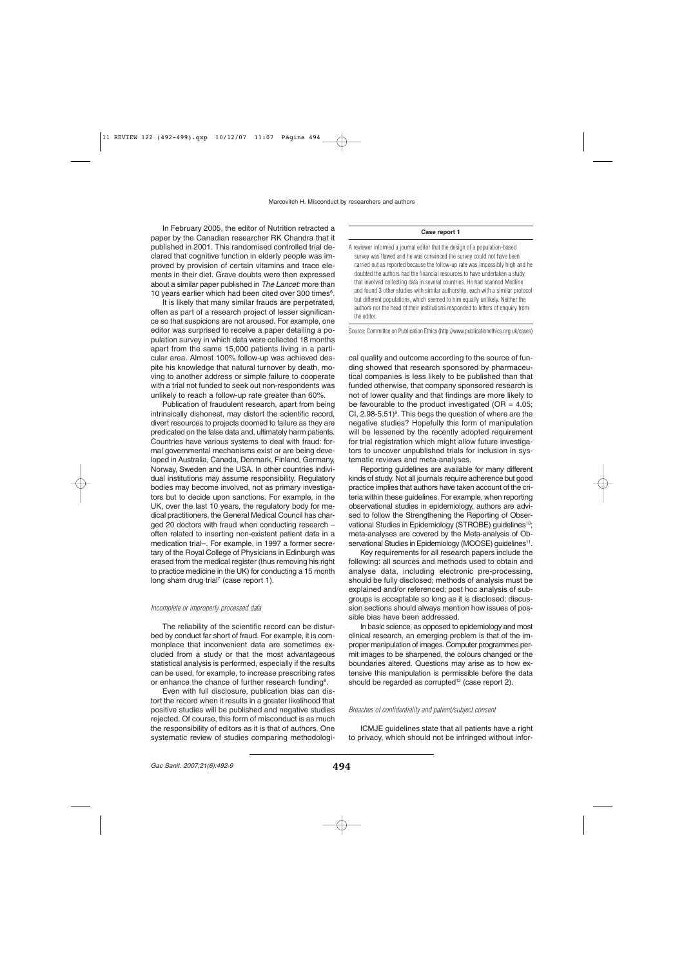In February 2005, the editor of Nutrition retracted a paper by the Canadian researcher RK Chandra that it published in 2001. This randomised controlled trial declared that cognitive function in elderly people was improved by provision of certain vitamins and trace elements in their diet. Grave doubts were then expressed about a similar paper published in The Lancet: more than 10 years earlier which had been cited over 300 times<sup>6</sup>.

It is likely that many similar frauds are perpetrated, often as part of a research project of lesser significance so that suspicions are not aroused. For example, one editor was surprised to receive a paper detailing a population survey in which data were collected 18 months apart from the same 15,000 patients living in a particular area. Almost 100% follow-up was achieved despite his knowledge that natural turnover by death, moving to another address or simple failure to cooperate with a trial not funded to seek out non-respondents was unlikely to reach a follow-up rate greater than 60%.

Publication of fraudulent research, apart from being intrinsically dishonest, may distort the scientific record, divert resources to projects doomed to failure as they are predicated on the false data and, ultimately harm patients. Countries have various systems to deal with fraud: formal governmental mechanisms exist or are being developed in Australia, Canada, Denmark, Finland, Germany, Norway, Sweden and the USA. In other countries individual institutions may assume responsibility. Regulatory bodies may become involved, not as primary investigators but to decide upon sanctions. For example, in the UK, over the last 10 years, the regulatory body for medical practitioners, the General Medical Council has charged 20 doctors with fraud when conducting research – often related to inserting non-existent patient data in a medication trial–. For example, in 1997 a former secretary of the Royal College of Physicians in Edinburgh was erased from the medical register (thus removing his right to practice medicine in the UK) for conducting a 15 month long sham drug trial<sup>7</sup> (case report 1).

# Incomplete or improperly processed data

The reliability of the scientific record can be disturbed by conduct far short of fraud. For example, it is commonplace that inconvenient data are sometimes excluded from a study or that the most advantageous statistical analysis is performed, especially if the results can be used, for example, to increase prescribing rates or enhance the chance of further research funding<sup>8</sup>.

Even with full disclosure, publication bias can distort the record when it results in a greater likelihood that positive studies will be published and negative studies rejected. Of course, this form of misconduct is as much the responsibility of editors as it is that of authors. One systematic review of studies comparing methodologi-

## **Case report 1**

A reviewer informed a journal editor that the design of a population-based survey was flawed and he was convinced the survey could not have been carried out as reported because the follow-up rate was impossibly high and he doubted the authors had the financial resources to have undertaken a study that involved collecting data in several countries. He had scanned Medline and found 3 other studies with similar authorship, each with a similar protocol but different populations, which seemed to him equally unlikely. Neither the authors nor the head of their institutions responded to letters of enquiry from the editor.

Source: Committee on Publication Ethics (http://www.publicationethics.org.uk/cases)

cal quality and outcome according to the source of funding showed that research sponsored by pharmaceutical companies is less likely to be published than that funded otherwise, that company sponsored research is not of lower quality and that findings are more likely to be favourable to the product investigated ( $OR = 4.05$ ; CI,  $2.98-5.51$ <sup>9</sup>. This begs the question of where are the negative studies? Hopefully this form of manipulation will be lessened by the recently adopted requirement for trial registration which might allow future investigators to uncover unpublished trials for inclusion in systematic reviews and meta-analyses.

Reporting guidelines are available for many different kinds of study. Not all journals require adherence but good practice implies that authors have taken account of the criteria within these guidelines. For example, when reporting observational studies in epidemiology, authors are advised to follow the Strengthening the Reporting of Observational Studies in Epidemiology (STROBE) guidelines<sup>10</sup>; meta-analyses are covered by the Meta-analysis of Observational Studies in Epidemiology (MOOSE) guidelines<sup>11</sup>.

Key requirements for all research papers include the following: all sources and methods used to obtain and analyse data, including electronic pre-processing, should be fully disclosed; methods of analysis must be explained and/or referenced; post hoc analysis of subgroups is acceptable so long as it is disclosed; discussion sections should always mention how issues of possible bias have been addressed.

In basic science, as opposed to epidemiology and most clinical research, an emerging problem is that of the improper manipulation of images. Computer programmes permit images to be sharpened, the colours changed or the boundaries altered. Questions may arise as to how extensive this manipulation is permissible before the data should be regarded as corrupted<sup>12</sup> (case report 2).

# Breaches of confidentiality and patient/subject consent

ICMJE guidelines state that all patients have a right to privacy, which should not be infringed without infor-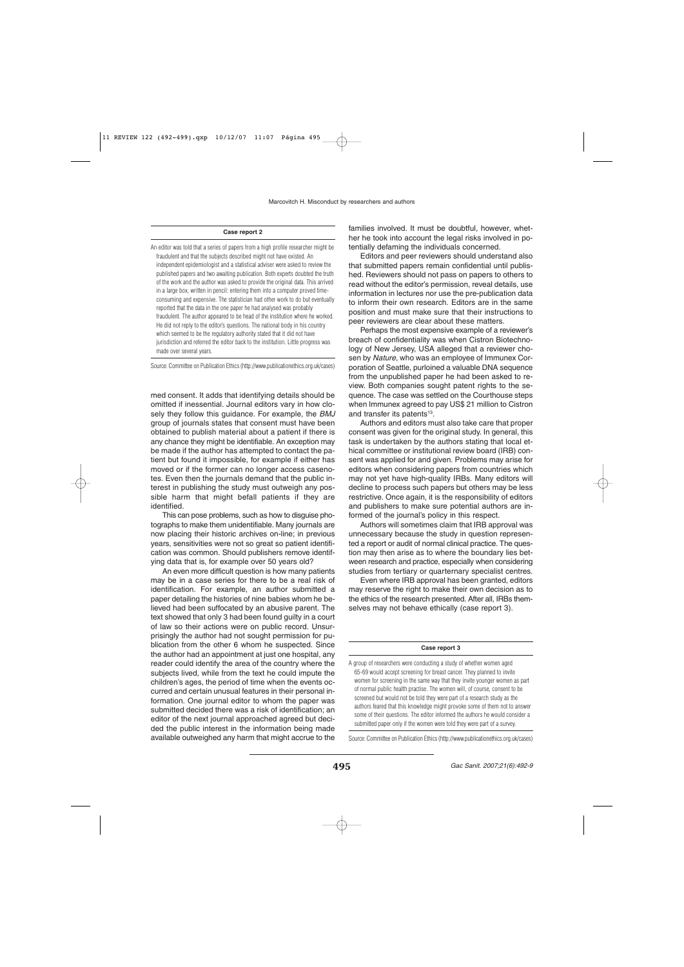# **Case report 2**

An editor was told that a series of papers from a high profile researcher might be fraudulent and that the subjects described might not have existed. An independent epidemiologist and a statistical adviser were asked to review the published papers and two awaiting publication. Both experts doubted the truth of the work and the author was asked to provide the original data. This arrived in a large box, written in pencil: entering them into a computer proved timeconsuming and expensive. The statistician had other work to do but eventually reported that the data in the one paper he had analysed was probably fraudulent. The author appeared to be head of the institution where he worked. He did not reply to the editor's questions. The national body in his country which seemed to be the regulatory authority stated that it did not have jurisdiction and referred the editor back to the institution. Little progress was made over several years.

Source: Committee on Publication Ethics (http://www.publicationethics.org.uk/cases)

med consent. It adds that identifying details should be omitted if inessential. Journal editors vary in how closely they follow this quidance. For example, the BMJ group of journals states that consent must have been obtained to publish material about a patient if there is any chance they might be identifiable. An exception may be made if the author has attempted to contact the patient but found it impossible, for example if either has moved or if the former can no longer access casenotes. Even then the journals demand that the public interest in publishing the study must outweigh any possible harm that might befall patients if they are identified.

This can pose problems, such as how to disguise photographs to make them unidentifiable. Many journals are now placing their historic archives on-line; in previous years, sensitivities were not so great so patient identification was common. Should publishers remove identifying data that is, for example over 50 years old?

An even more difficult question is how many patients may be in a case series for there to be a real risk of identification. For example, an author submitted a paper detailing the histories of nine babies whom he believed had been suffocated by an abusive parent. The text showed that only 3 had been found guilty in a court of law so their actions were on public record. Unsurprisingly the author had not sought permission for publication from the other 6 whom he suspected. Since the author had an appointment at just one hospital, any reader could identify the area of the country where the subjects lived, while from the text he could impute the children's ages, the period of time when the events occurred and certain unusual features in their personal information. One journal editor to whom the paper was submitted decided there was a risk of identification; an editor of the next journal approached agreed but decided the public interest in the information being made available outweighed any harm that might accrue to the

families involved. It must be doubtful, however, whether he took into account the legal risks involved in potentially defaming the individuals concerned.

Editors and peer reviewers should understand also that submitted papers remain confidential until published. Reviewers should not pass on papers to others to read without the editor's permission, reveal details, use information in lectures nor use the pre-publication data to inform their own research. Editors are in the same position and must make sure that their instructions to peer reviewers are clear about these matters.

Perhaps the most expensive example of a reviewer's breach of confidentiality was when Cistron Biotechnology of New Jersey, USA alleged that a reviewer chosen by Nature, who was an employee of Immunex Corporation of Seattle, purloined a valuable DNA sequence from the unpublished paper he had been asked to review. Both companies sought patent rights to the sequence. The case was settled on the Courthouse steps when Immunex agreed to pay US\$ 21 million to Cistron and transfer its patents<sup>13</sup>.

Authors and editors must also take care that proper consent was given for the original study. In general, this task is undertaken by the authors stating that local ethical committee or institutional review board (IRB) consent was applied for and given. Problems may arise for editors when considering papers from countries which may not yet have high-quality IRBs. Many editors will decline to process such papers but others may be less restrictive. Once again, it is the responsibility of editors and publishers to make sure potential authors are informed of the journal's policy in this respect.

Authors will sometimes claim that IRB approval was unnecessary because the study in question represented a report or audit of normal clinical practice. The question may then arise as to where the boundary lies between research and practice, especially when considering studies from tertiary or quarternary specialist centres.

Even where IRB approval has been granted, editors may reserve the right to make their own decision as to the ethics of the research presented. After all, IRBs themselves may not behave ethically (case report 3).

#### **Case report 3**

A group of researchers were conducting a study of whether women aged 65-69 would accept screening for breast cancer. They planned to invite women for screening in the same way that they invite younger women as part of normal public health practise. The women will, of course, consent to be screened but would not be told they were part of a research study as the authors feared that this knowledge might provoke some of them not to answer some of their questions. The editor informed the authors he would consider a submitted paper only if the women were told they were part of a survey.

Source: Committee on Publication Ethics (http://www.publicationethics.org.uk/cases)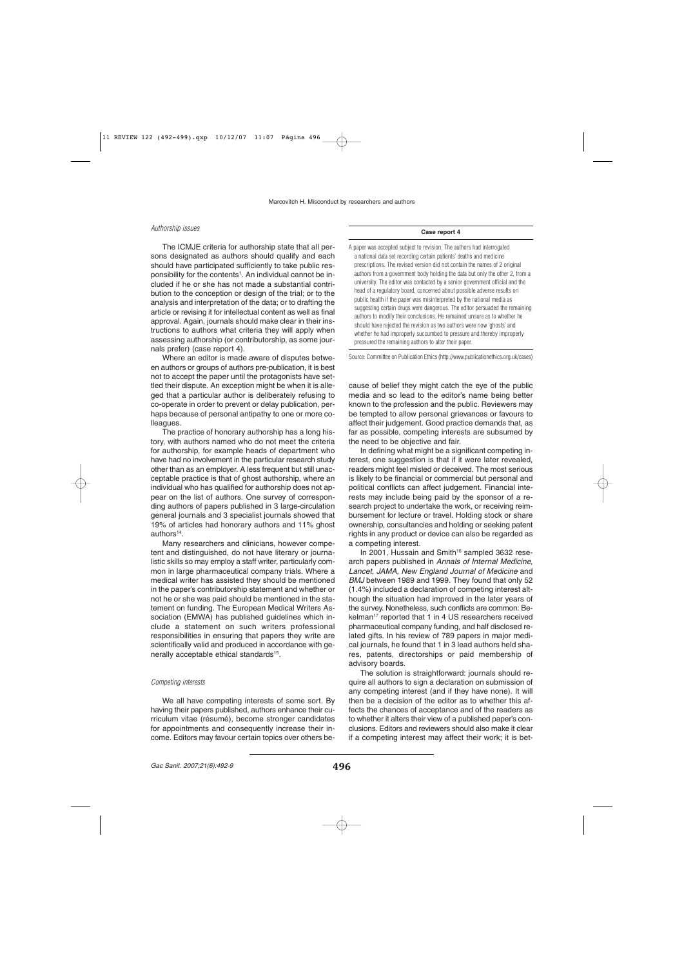# Authorship issues

The ICMJE criteria for authorship state that all persons designated as authors should qualify and each should have participated sufficiently to take public responsibility for the contents<sup>1</sup>. An individual cannot be included if he or she has not made a substantial contribution to the conception or design of the trial; or to the analysis and interpretation of the data; or to drafting the article or revising it for intellectual content as well as final approval. Again, journals should make clear in their instructions to authors what criteria they will apply when assessing authorship (or contributorship, as some journals prefer) (case report 4).

Where an editor is made aware of disputes between authors or groups of authors pre-publication, it is best not to accept the paper until the protagonists have settled their dispute. An exception might be when it is alleged that a particular author is deliberately refusing to co-operate in order to prevent or delay publication, perhaps because of personal antipathy to one or more colleagues.

The practice of honorary authorship has a long history, with authors named who do not meet the criteria for authorship, for example heads of department who have had no involvement in the particular research study other than as an employer. A less frequent but still unacceptable practice is that of ghost authorship, where an individual who has qualified for authorship does not appear on the list of authors. One survey of corresponding authors of papers published in 3 large-circulation general journals and 3 specialist journals showed that 19% of articles had honorary authors and 11% ghost authors<sup>14</sup>.

Many researchers and clinicians, however competent and distinguished, do not have literary or journalistic skills so may employ a staff writer, particularly common in large pharmaceutical company trials. Where a medical writer has assisted they should be mentioned in the paper's contributorship statement and whether or not he or she was paid should be mentioned in the statement on funding. The European Medical Writers Association (EMWA) has published guidelines which include a statement on such writers professional responsibilities in ensuring that papers they write are scientifically valid and produced in accordance with generally acceptable ethical standards<sup>15</sup>.

## Competing interests

We all have competing interests of some sort. By having their papers published, authors enhance their curriculum vitae (résumé), become stronger candidates for appointments and consequently increase their income. Editors may favour certain topics over others be-

# **Case report 4**

A paper was accepted subject to revision. The authors had interrogated a national data set recording certain patients' deaths and medicine prescriptions. The revised version did not contain the names of 2 original authors from a government body holding the data but only the other 2, from a university. The editor was contacted by a senior government official and the head of a regulatory board, concerned about possible adverse results on public health if the paper was misinterpreted by the national media as suggesting certain drugs were dangerous. The editor persuaded the remaining authors to modify their conclusions. He remained unsure as to whether he should have rejected the revision as two authors were now 'ghosts' and whether he had improperly succumbed to pressure and thereby improperly pressured the remaining authors to alter their paper.

Source: Committee on Publication Ethics (http://www.publicationethics.org.uk/cases)

cause of belief they might catch the eye of the public media and so lead to the editor's name being better known to the profession and the public. Reviewers may be tempted to allow personal grievances or favours to affect their judgement. Good practice demands that, as far as possible, competing interests are subsumed by the need to be objective and fair.

In defining what might be a significant competing interest, one suggestion is that if it were later revealed, readers might feel misled or deceived. The most serious is likely to be financial or commercial but personal and political conflicts can affect judgement. Financial interests may include being paid by the sponsor of a research project to undertake the work, or receiving reimbursement for lecture or travel. Holding stock or share ownership, consultancies and holding or seeking patent rights in any product or device can also be regarded as a competing interest.

In 2001, Hussain and Smith<sup>16</sup> sampled 3632 research papers published in Annals of Internal Medicine, Lancet, JAMA, New England Journal of Medicine and BMJ between 1989 and 1999. They found that only 52 (1.4%) included a declaration of competing interest although the situation had improved in the later years of the survey. Nonetheless, such conflicts are common: Bekelman<sup>17</sup> reported that 1 in 4 US researchers received pharmaceutical company funding, and half disclosed related gifts. In his review of 789 papers in major medical journals, he found that 1 in 3 lead authors held shares, patents, directorships or paid membership of advisory boards.

The solution is straightforward: journals should require all authors to sign a declaration on submission of any competing interest (and if they have none). It will then be a decision of the editor as to whether this affects the chances of acceptance and of the readers as to whether it alters their view of a published paper's conclusions. Editors and reviewers should also make it clear if a competing interest may affect their work; it is bet-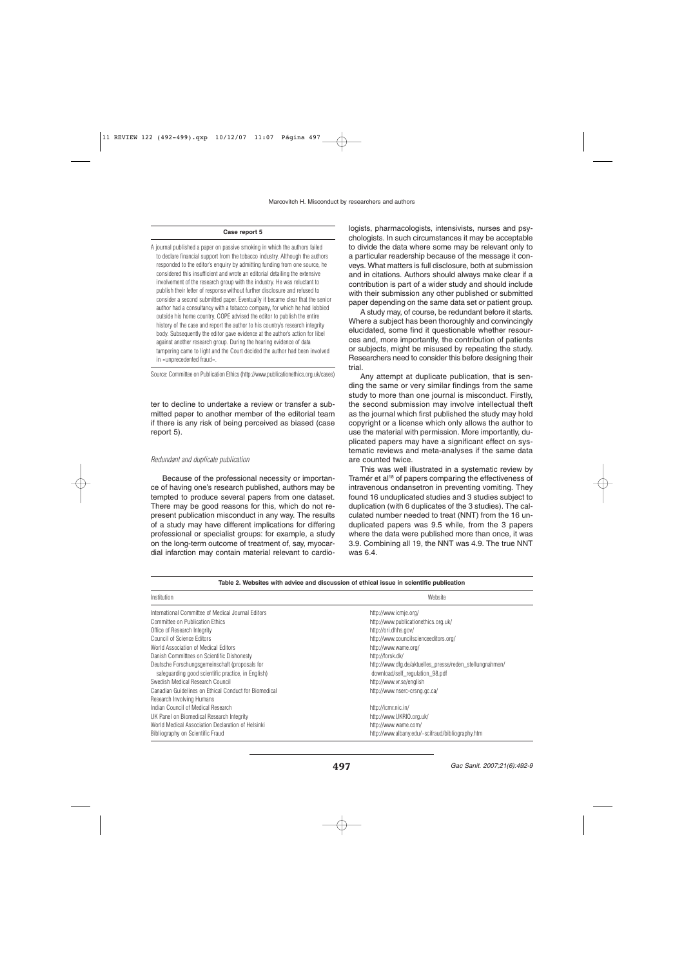# **Case report 5**

A journal published a paper on passive smoking in which the authors failed to declare financial support from the tobacco industry. Although the authors responded to the editor's enquiry by admitting funding from one source, he considered this insufficient and wrote an editorial detailing the extensive involvement of the research group with the industry. He was reluctant to publish their letter of response without further disclosure and refused to consider a second submitted paper. Eventually it became clear that the senior author had a consultancy with a tobacco company, for which he had lobbied outside his home country. COPE advised the editor to publish the entire history of the case and report the author to his country's research integrity body. Subsequently the editor gave evidence at the author's action for libel against another research group. During the hearing evidence of data tampering came to light and the Court decided the author had been involved in «unprecedented fraud».

Source: Committee on Publication Ethics (http://www.publicationethics.org.uk/cases)

ter to decline to undertake a review or transfer a submitted paper to another member of the editorial team if there is any risk of being perceived as biased (case report 5).

## Redundant and duplicate publication

Because of the professional necessity or importance of having one's research published, authors may be tempted to produce several papers from one dataset. There may be good reasons for this, which do not represent publication misconduct in any way. The results of a study may have different implications for differing professional or specialist groups: for example, a study on the long-term outcome of treatment of, say, myocardial infarction may contain material relevant to cardiologists, pharmacologists, intensivists, nurses and psychologists. In such circumstances it may be acceptable to divide the data where some may be relevant only to a particular readership because of the message it conveys. What matters is full disclosure, both at submission and in citations. Authors should always make clear if a contribution is part of a wider study and should include with their submission any other published or submitted paper depending on the same data set or patient group.

A study may, of course, be redundant before it starts. Where a subject has been thoroughly and convincingly elucidated, some find it questionable whether resources and, more importantly, the contribution of patients or subjects, might be misused by repeating the study. Researchers need to consider this before designing their trial.

Any attempt at duplicate publication, that is sending the same or very similar findings from the same study to more than one journal is misconduct. Firstly, the second submission may involve intellectual theft as the journal which first published the study may hold copyright or a license which only allows the author to use the material with permission. More importantly, duplicated papers may have a significant effect on systematic reviews and meta-analyses if the same data are counted twice.

This was well illustrated in a systematic review by Tramér et al<sup>18</sup> of papers comparing the effectiveness of intravenous ondansetron in preventing vomiting. They found 16 unduplicated studies and 3 studies subject to duplication (with 6 duplicates of the 3 studies). The calculated number needed to treat (NNT) from the 16 unduplicated papers was 9.5 while, from the 3 papers where the data were published more than once, it was 3.9. Combining all 19, the NNT was 4.9. The true NNT was 6.4.

| Table 2. Websites with advice and discussion of ethical issue in scientific publication              |                                                                                             |
|------------------------------------------------------------------------------------------------------|---------------------------------------------------------------------------------------------|
| Institution                                                                                          | Website                                                                                     |
| International Committee of Medical Journal Editors                                                   | http://www.icmje.org/                                                                       |
| Committee on Publication Ethics                                                                      | http://www.publicationethics.org.uk/                                                        |
| Office of Research Integrity                                                                         | http://ori.dhhs.gov/                                                                        |
| Council of Science Editors                                                                           | http://www.councilscienceeditors.org/                                                       |
| World Association of Medical Editors                                                                 | http://www.wame.org/                                                                        |
| Danish Committees on Scientific Dishonesty                                                           | http://forsk.dk/                                                                            |
| Deutsche Forschungsgemeinschaft (proposals for<br>safeguarding good scientific practice, in English) | http://www.dfg.de/aktuelles_presse/reden_stellungnahmen/<br>download/self regulation 98.pdf |
| Swedish Medical Research Council                                                                     | http://www.vr.se/english                                                                    |
| Canadian Guidelines on Ethical Conduct for Biomedical                                                | http://www.nserc-crsng.gc.ca/                                                               |
| Research Involving Humans                                                                            |                                                                                             |
| Indian Council of Medical Research                                                                   | http://icmr.nic.in/                                                                         |
| UK Panel on Biomedical Research Integrity                                                            | http://www.UKRIO.org.uk/                                                                    |
| World Medical Association Declaration of Helsinki                                                    | http://www.wame.com/                                                                        |
| Bibliography on Scientific Fraud                                                                     | http://www.albany.edu/~scifraud/bibliography.htm                                            |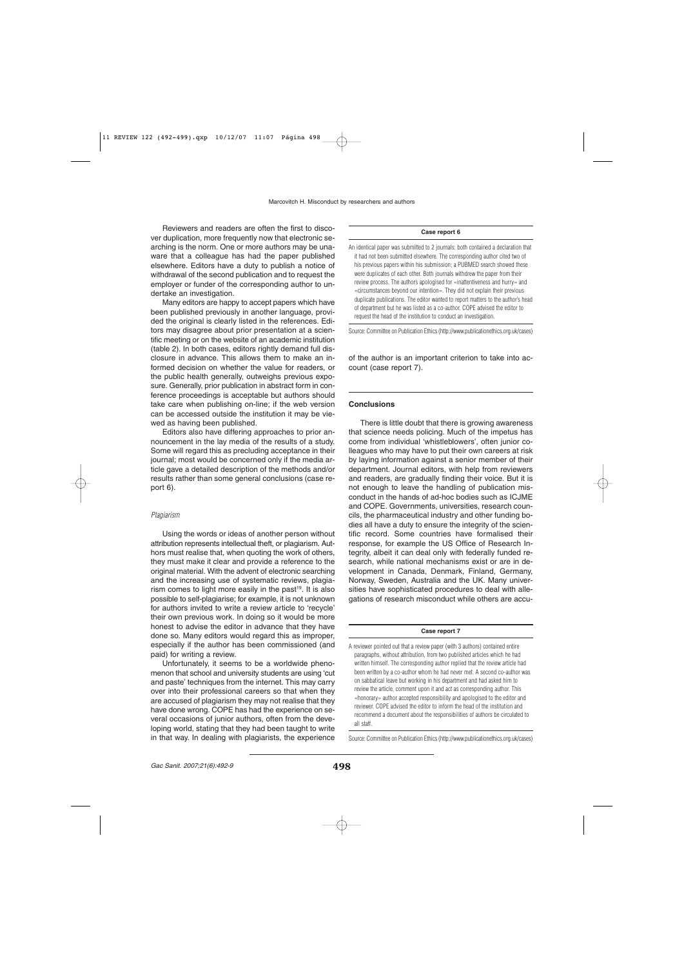Reviewers and readers are often the first to discover duplication, more frequently now that electronic searching is the norm. One or more authors may be unaware that a colleague has had the paper published elsewhere. Editors have a duty to publish a notice of withdrawal of the second publication and to request the employer or funder of the corresponding author to undertake an investigation.

Many editors are happy to accept papers which have been published previously in another language, provided the original is clearly listed in the references. Editors may disagree about prior presentation at a scientific meeting or on the website of an academic institution (table 2). In both cases, editors rightly demand full disclosure in advance. This allows them to make an informed decision on whether the value for readers, or the public health generally, outweighs previous exposure. Generally, prior publication in abstract form in conference proceedings is acceptable but authors should take care when publishing on-line; if the web version can be accessed outside the institution it may be viewed as having been published.

Editors also have differing approaches to prior announcement in the lay media of the results of a study. Some will regard this as precluding acceptance in their journal; most would be concerned only if the media article gave a detailed description of the methods and/or results rather than some general conclusions (case report 6).

# Plagiarism

Using the words or ideas of another person without attribution represents intellectual theft, or plagiarism. Authors must realise that, when quoting the work of others, they must make it clear and provide a reference to the original material. With the advent of electronic searching and the increasing use of systematic reviews, plagiarism comes to light more easily in the past $19$ . It is also possible to self-plagiarise; for example, it is not unknown for authors invited to write a review article to 'recycle' their own previous work. In doing so it would be more honest to advise the editor in advance that they have done so. Many editors would regard this as improper, especially if the author has been commissioned (and paid) for writing a review.

Unfortunately, it seems to be a worldwide phenomenon that school and university students are using 'cut and paste' techniques from the internet. This may carry over into their professional careers so that when they are accused of plagiarism they may not realise that they have done wrong. COPE has had the experience on several occasions of junior authors, often from the developing world, stating that they had been taught to write in that way. In dealing with plagiarists, the experience

## **Case report 6**

An identical paper was submitted to 2 journals: both contained a declaration that it had not been submitted elsewhere. The corresponding author cited two of his previous papers within his submission; a PUBMED search showed these were duplicates of each other. Both journals withdrew the paper from their review process. The authors apologised for «inattentiveness and hurry» and «circumstances beyond our intention». They did not explain their previous duplicate publications. The editor wanted to report matters to the author's head of department but he was listed as a co-author. COPE advised the editor to request the head of the institution to conduct an investigation.

Source: Committee on Publication Ethics (http://www.publicationethics.org.uk/cases)

of the author is an important criterion to take into account (case report 7).

# **Conclusions**

There is little doubt that there is growing awareness that science needs policing. Much of the impetus has come from individual 'whistleblowers', often junior colleagues who may have to put their own careers at risk by laying information against a senior member of their department. Journal editors, with help from reviewers and readers, are gradually finding their voice. But it is not enough to leave the handling of publication misconduct in the hands of ad-hoc bodies such as ICJME and COPE. Governments, universities, research councils, the pharmaceutical industry and other funding bodies all have a duty to ensure the integrity of the scientific record. Some countries have formalised their response, for example the US Office of Research Integrity, albeit it can deal only with federally funded research, while national mechanisms exist or are in development in Canada, Denmark, Finland, Germany, Norway, Sweden, Australia and the UK. Many universities have sophisticated procedures to deal with allegations of research misconduct while others are accu-

# **Case report 7**

A reviewer pointed out that a review paper (with 3 authors) contained entire paragraphs, without attribution, from two published articles which he had written himself. The corresponding author replied that the review article had been written by a co-author whom he had never met. A second co-author was on sabbatical leave but working in his department and had asked him to review the article, comment upon it and act as corresponding author. This «honorary» author accepted responsibility and apologised to the editor and reviewer. COPE advised the editor to inform the head of the institution and recommend a document about the responsibilities of authors be circulated to all staff.

Source: Committee on Publication Ethics (http://www.publicationethics.org.uk/cases)